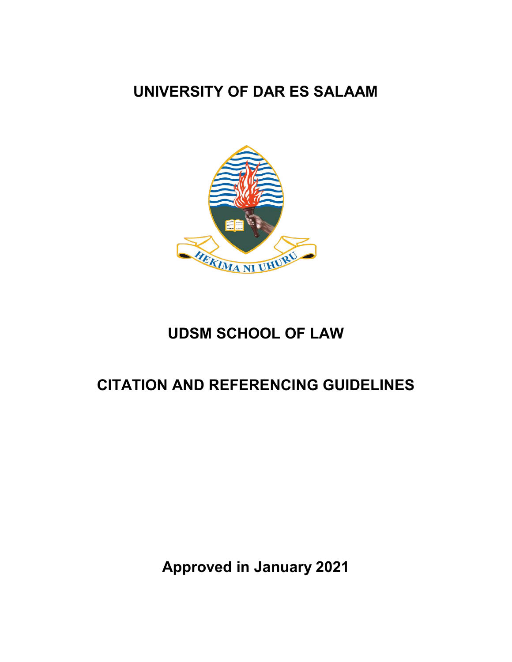# **UNIVERSITY OF DAR ES SALAAM**



# **UDSM SCHOOL OF LAW**

# **CITATION AND REFERENCING GUIDELINES**

**Approved in January 2021**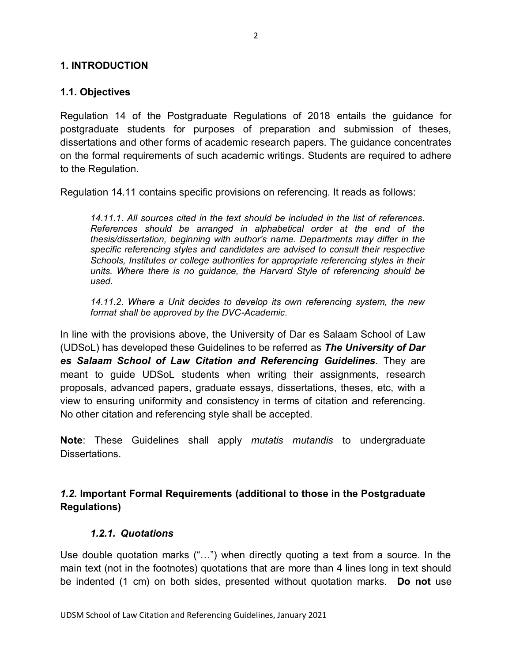#### **1. INTRODUCTION**

#### **1.1. Objectives**

Regulation 14 of the Postgraduate Regulations of 2018 entails the guidance for postgraduate students for purposes of preparation and submission of theses, dissertations and other forms of academic research papers. The guidance concentrates on the formal requirements of such academic writings. Students are required to adhere to the Regulation.

Regulation 14.11 contains specific provisions on referencing. It reads as follows:

*14.11.1. All sources cited in the text should be included in the list of references. References should be arranged in alphabetical order at the end of the thesis/dissertation, beginning with author's name. Departments may differ in the specific referencing styles and candidates are advised to consult their respective Schools, Institutes or college authorities for appropriate referencing styles in their units. Where there is no guidance, the Harvard Style of referencing should be used.*

*14.11.2. Where a Unit decides to develop its own referencing system, the new format shall be approved by the DVC-Academic*.

In line with the provisions above, the University of Dar es Salaam School of Law (UDSoL) has developed these Guidelines to be referred as *The University of Dar es Salaam School of Law Citation and Referencing Guidelines*. They are meant to guide UDSoL students when writing their assignments, research proposals, advanced papers, graduate essays, dissertations, theses, etc, with a view to ensuring uniformity and consistency in terms of citation and referencing. No other citation and referencing style shall be accepted.

**Note**: These Guidelines shall apply *mutatis mutandis* to undergraduate Dissertations.

## *1.2.* **Important Formal Requirements (additional to those in the Postgraduate Regulations)**

#### *1.2.1. Quotations*

Use double quotation marks ("...") when directly quoting a text from a source. In the main text (not in the footnotes) quotations that are more than 4 lines long in text should be indented (1 cm) on both sides, presented without quotation marks. **Do not** use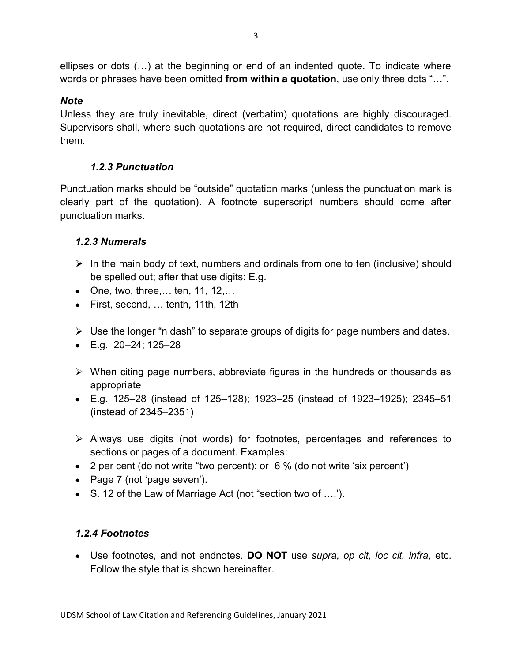ellipses or dots (…) at the beginning or end of an indented quote. To indicate where words or phrases have been omitted **from within a quotation**, use only three dots "…".

## *Note*

Unless they are truly inevitable, direct (verbatim) quotations are highly discouraged. Supervisors shall, where such quotations are not required, direct candidates to remove them.

# *1.2.3 Punctuation*

Punctuation marks should be "outside" quotation marks (unless the punctuation mark is clearly part of the quotation). A footnote superscript numbers should come after punctuation marks.

# *1.2.3 Numerals*

- $\triangleright$  In the main body of text, numbers and ordinals from one to ten (inclusive) should be spelled out; after that use digits: E.g.
- One, two, three,… ten, 11, 12,…
- First, second, … tenth, 11th, 12th
- $\triangleright$  Use the longer "n dash" to separate groups of digits for page numbers and dates.
- $\bullet$  E.g. 20-24; 125-28
- $\triangleright$  When citing page numbers, abbreviate figures in the hundreds or thousands as appropriate
- E.g. 125–28 (instead of 125–128); 1923–25 (instead of 1923–1925); 2345–51 (instead of 2345–2351)
- $\triangleright$  Always use digits (not words) for footnotes, percentages and references to sections or pages of a document. Examples:
- 2 per cent (do not write "two percent); or 6 % (do not write 'six percent')
- Page 7 (not 'page seven').
- S. 12 of the Law of Marriage Act (not "section two of ….').

# *1.2.4 Footnotes*

Use footnotes, and not endnotes. **DO NOT** use *supra, op cit, loc cit, infra*, etc. Follow the style that is shown hereinafter.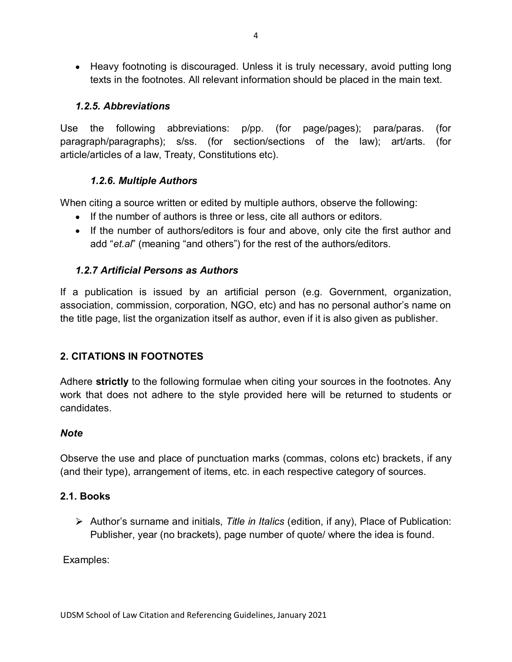Heavy footnoting is discouraged. Unless it is truly necessary, avoid putting long texts in the footnotes. All relevant information should be placed in the main text.

## *1.2.5. Abbreviations*

Use the following abbreviations: p/pp. (for page/pages); para/paras. (for paragraph/paragraphs); s/ss. (for section/sections of the law); art/arts. (for article/articles of a law, Treaty, Constitutions etc).

# *1.2.6. Multiple Authors*

When citing a source written or edited by multiple authors, observe the following:

- If the number of authors is three or less, cite all authors or editors.
- If the number of authors/editors is four and above, only cite the first author and add "*et.al*" (meaning "and others") for the rest of the authors/editors.

# *1.2.7 Artificial Persons as Authors*

If a publication is issued by an artificial person (e.g. Government, organization, association, commission, corporation, NGO, etc) and has no personal author's name on the title page, list the organization itself as author, even if it is also given as publisher.

# **2. CITATIONS IN FOOTNOTES**

Adhere **strictly** to the following formulae when citing your sources in the footnotes. Any work that does not adhere to the style provided here will be returned to students or candidates.

## *Note*

Observe the use and place of punctuation marks (commas, colons etc) brackets, if any (and their type), arrangement of items, etc. in each respective category of sources.

## **2.1. Books**

Author's surname and initials, *Title in Italics* (edition, if any), Place of Publication: Publisher, year (no brackets), page number of quote/ where the idea is found.

Examples: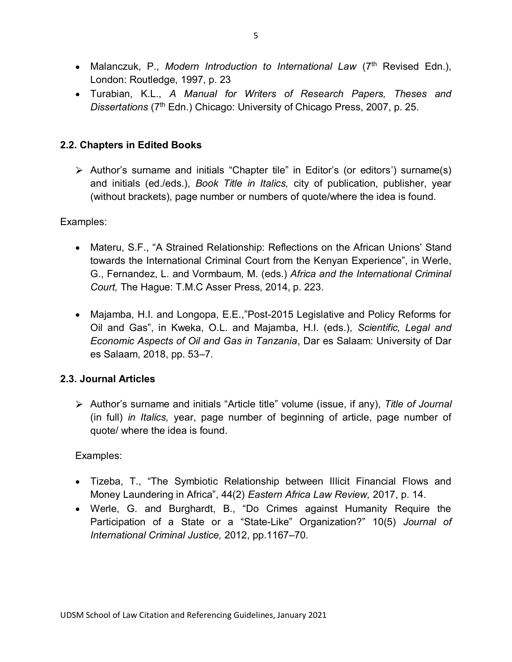- Malanczuk, P., Modern Introduction to International Law (7<sup>th</sup> Revised Edn.), London: Routledge, 1997, p. 23
- Turabian, K.L., *A Manual for Writers of Research Papers, Theses and Dissertations* (7th Edn.) Chicago: University of Chicago Press, 2007, p. 25.

# **2.2. Chapters in Edited Books**

Author's surname and initials "Chapter tile" in Editor's (or editors') surname(s) and initials (ed./eds.), *Book Title in Italics,* city of publication, publisher, year (without brackets), page number or numbers of quote/where the idea is found.

## Examples:

- Materu, S.F., "A Strained Relationship: Reflections on the African Unions' Stand towards the International Criminal Court from the Kenyan Experience", in Werle, G., Fernandez, L. and Vormbaum, M. (eds.) *Africa and the International Criminal Court,* The Hague: T.M.C Asser Press, 2014, p. 223.
- Majamba, H.I. and Longopa, E.E.,"Post-2015 Legislative and Policy Reforms for Oil and Gas", in Kweka, O.L. and Majamba, H.I. (eds.), *Scientific, Legal and Economic Aspects of Oil and Gas in Tanzania*, Dar es Salaam: University of Dar es Salaam, 2018, pp. 53–7.

## **2.3. Journal Articles**

Author's surname and initials "Article title" volume (issue, if any), *Title of Journal*  (in full) *in Italics,* year, page number of beginning of article, page number of quote/ where the idea is found.

Examples:

- Tizeba, T., "The Symbiotic Relationship between Illicit Financial Flows and Money Laundering in Africa", 44(2) *Eastern Africa Law Review,* 2017, p. 14.
- Werle, G. and Burghardt, B., "Do Crimes against Humanity Require the Participation of a State or a "State-Like" Organization?" 10(5) *Journal of International Criminal Justice,* 2012, pp.1167–70.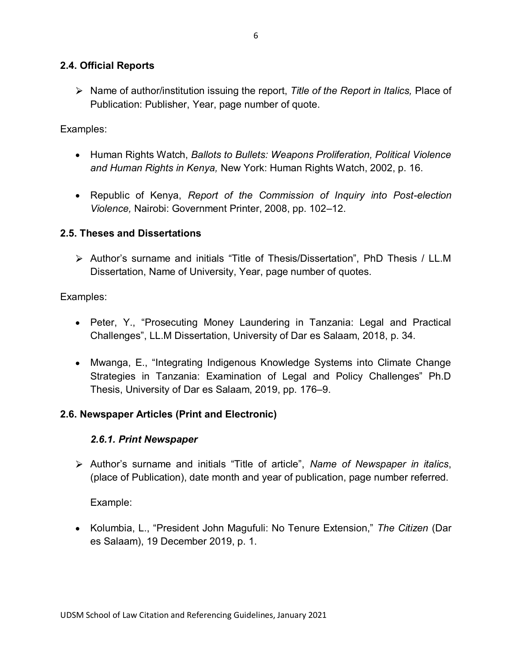#### **2.4. Official Reports**

Name of author/institution issuing the report, *Title of the Report in Italics,* Place of Publication: Publisher, Year, page number of quote.

### Examples:

- Human Rights Watch, *Ballots to Bullets: Weapons Proliferation, Political Violence and Human Rights in Kenya,* New York: Human Rights Watch, 2002, p. 16.
- Republic of Kenya, *Report of the Commission of Inquiry into Post-election Violence,* Nairobi: Government Printer, 2008, pp. 102–12.

#### **2.5. Theses and Dissertations**

Author's surname and initials "Title of Thesis/Dissertation", PhD Thesis / LL.M Dissertation, Name of University, Year, page number of quotes.

Examples:

- Peter, Y., "Prosecuting Money Laundering in Tanzania: Legal and Practical Challenges", LL.M Dissertation, University of Dar es Salaam, 2018, p. 34.
- Mwanga, E., "Integrating Indigenous Knowledge Systems into Climate Change Strategies in Tanzania: Examination of Legal and Policy Challenges" Ph.D Thesis, University of Dar es Salaam, 2019, pp. 176–9.

## **2.6. Newspaper Articles (Print and Electronic)**

#### *2.6.1. Print Newspaper*

Author's surname and initials "Title of article", *Name of Newspaper in italics*, (place of Publication), date month and year of publication, page number referred.

Example:

Kolumbia, L., "President John Magufuli: No Tenure Extension," *The Citizen* (Dar es Salaam), 19 December 2019, p. 1.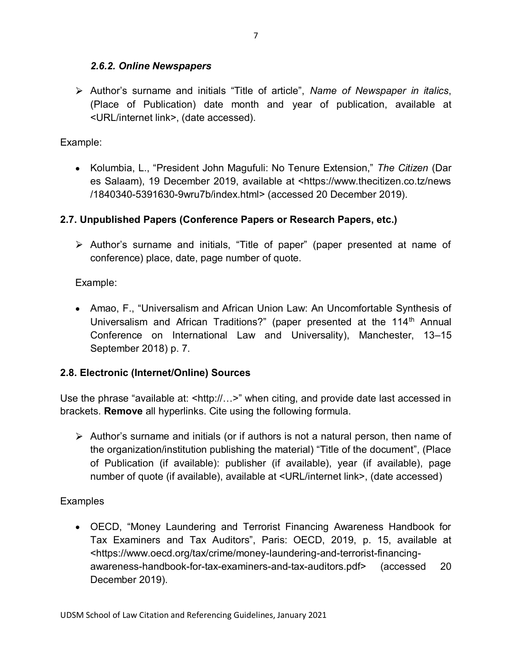## *2.6.2. Online Newspapers*

Author's surname and initials "Title of article", *Name of Newspaper in italics*, (Place of Publication) date month and year of publication, available at <URL/internet link>, (date accessed).

#### Example:

Kolumbia, L., "President John Magufuli: No Tenure Extension," *The Citizen* (Dar es Salaam), 19 December 2019, available at <https://www.thecitizen.co.tz/news /1840340-5391630-9wru7b/index.html> (accessed 20 December 2019).

## **2.7. Unpublished Papers (Conference Papers or Research Papers, etc.)**

Author's surname and initials, "Title of paper" (paper presented at name of conference) place, date, page number of quote.

## Example:

• Amao, F., "Universalism and African Union Law: An Uncomfortable Synthesis of Universalism and African Traditions?" (paper presented at the 114<sup>th</sup> Annual Conference on International Law and Universality), Manchester, 13–15 September 2018) p. 7.

## **2.8. Electronic (Internet/Online) Sources**

Use the phrase "available at: <http://...>" when citing, and provide date last accessed in brackets. **Remove** all hyperlinks. Cite using the following formula.

 $\triangleright$  Author's surname and initials (or if authors is not a natural person, then name of the organization/institution publishing the material) "Title of the document", (Place of Publication (if available): publisher (if available), year (if available), page number of quote (if available), available at <URL/internet link>, (date accessed)

## **Examples**

OECD, "Money Laundering and Terrorist Financing Awareness Handbook for Tax Examiners and Tax Auditors", Paris: OECD, 2019, p. 15, available at <https://www.oecd.org/tax/crime/money-laundering-and-terrorist-financingawareness-handbook-for-tax-examiners-and-tax-auditors.pdf> (accessed 20 December 2019).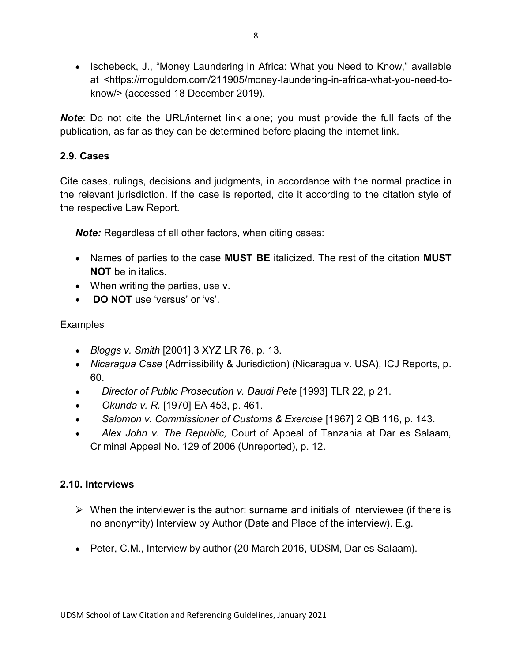• Ischebeck, J., "Money Laundering in Africa: What you Need to Know," available at <https://moguldom.com/211905/money-laundering-in-africa-what-you-need-toknow/> (accessed 18 December 2019).

*Note*: Do not cite the URL/internet link alone; you must provide the full facts of the publication, as far as they can be determined before placing the internet link.

## **2.9. Cases**

Cite cases, rulings, decisions and judgments, in accordance with the normal practice in the relevant jurisdiction. If the case is reported, cite it according to the citation style of the respective Law Report.

**Note:** Regardless of all other factors, when citing cases:

- Names of parties to the case **MUST BE** italicized. The rest of the citation **MUST NOT** be in italics.
- When writing the parties, use v.
- **DO NOT** use 'versus' or 'vs'.

# **Examples**

- *Bloggs v. Smith* [2001] 3 XYZ LR 76, p. 13.
- *Nicaragua Case* (Admissibility & Jurisdiction) (Nicaragua v. USA), ICJ Reports, p. 60.
- *Director of Public Prosecution v. Daudi Pete* [1993] TLR 22, p 21.  $\bullet$
- *Okunda v. R.* [1970] EA 453, p. 461.
- *Salomon v. Commissioner of Customs & Exercise* [1967] 2 QB 116, p. 143.
- *Alex John v. The Republic,* Court of Appeal of Tanzania at Dar es Salaam, Criminal Appeal No. 129 of 2006 (Unreported), p. 12.

## **2.10. Interviews**

- $\triangleright$  When the interviewer is the author: surname and initials of interviewee (if there is no anonymity) Interview by Author (Date and Place of the interview). E.g.
- Peter, C.M., Interview by author (20 March 2016, UDSM, Dar es Salaam).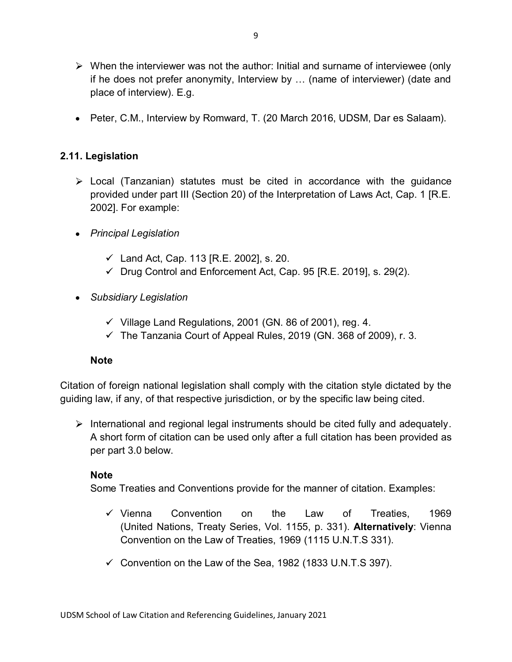- $\triangleright$  When the interviewer was not the author: Initial and surname of interviewee (only if he does not prefer anonymity, Interview by … (name of interviewer) (date and place of interview). E.g.
- Peter, C.M., Interview by Romward, T. (20 March 2016, UDSM, Dar es Salaam).

## **2.11. Legislation**

- $\triangleright$  Local (Tanzanian) statutes must be cited in accordance with the quidance provided under part III (Section 20) of the Interpretation of Laws Act, Cap. 1 [R.E. 2002]. For example:
- *Principal Legislation*
	- $\checkmark$  Land Act, Cap. 113 [R.E. 2002], s. 20.
	- $\checkmark$  Drug Control and Enforcement Act, Cap. 95 [R.E. 2019], s. 29(2).
- *Subsidiary Legislation*
	- $\checkmark$  Village Land Regulations, 2001 (GN. 86 of 2001), reg. 4.
	- $\checkmark$  The Tanzania Court of Appeal Rules, 2019 (GN. 368 of 2009), r. 3.

#### **Note**

Citation of foreign national legislation shall comply with the citation style dictated by the guiding law, if any, of that respective jurisdiction, or by the specific law being cited.

International and regional legal instruments should be cited fully and adequately. A short form of citation can be used only after a full citation has been provided as per part 3.0 below.

## **Note**

Some Treaties and Conventions provide for the manner of citation. Examples:

- $\checkmark$  Vienna Convention on the Law of Treaties. 1969 (United Nations, Treaty Series, Vol. 1155, p. 331). **Alternatively**: Vienna Convention on the Law of Treaties, 1969 (1115 U.N.T.S 331).
- $\checkmark$  Convention on the Law of the Sea, 1982 (1833 U.N.T.S 397).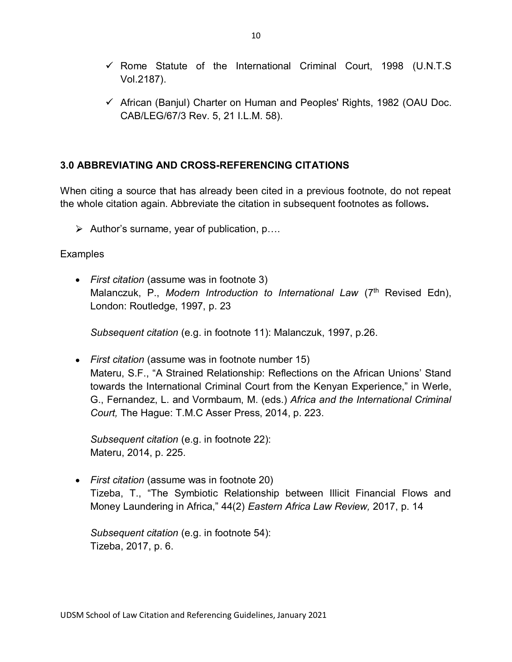- $\checkmark$  Rome Statute of the International Criminal Court, 1998 (U.N.T.S Vol.2187).
- $\checkmark$  African (Banjul) Charter on Human and Peoples' Rights, 1982 (OAU Doc. CAB/LEG/67/3 Rev. 5, 21 I.L.M. 58).

## **3.0 ABBREVIATING AND CROSS-REFERENCING CITATIONS**

When citing a source that has already been cited in a previous footnote, do not repeat the whole citation again. Abbreviate the citation in subsequent footnotes as follows**.**

 $\triangleright$  Author's surname, year of publication, p....

#### **Examples**

*First citation* (assume was in footnote 3) Malanczuk, P., *Modern Introduction to International Law* (7<sup>th</sup> Revised Edn), London: Routledge, 1997, p. 23

*Subsequent citation* (e.g. in footnote 11): Malanczuk, 1997, p.26.

*First citation* (assume was in footnote number 15) Materu, S.F., "A Strained Relationship: Reflections on the African Unions' Stand towards the International Criminal Court from the Kenyan Experience," in Werle, G., Fernandez, L. and Vormbaum, M. (eds.) *Africa and the International Criminal Court,* The Hague: T.M.C Asser Press, 2014, p. 223.

*Subsequent citation* (e.g. in footnote 22): Materu, 2014, p. 225.

*First citation* (assume was in footnote 20) Tizeba, T., "The Symbiotic Relationship between Illicit Financial Flows and Money Laundering in Africa," 44(2) *Eastern Africa Law Review,* 2017, p. 14

*Subsequent citation* (e.g. in footnote 54): Tizeba, 2017, p. 6.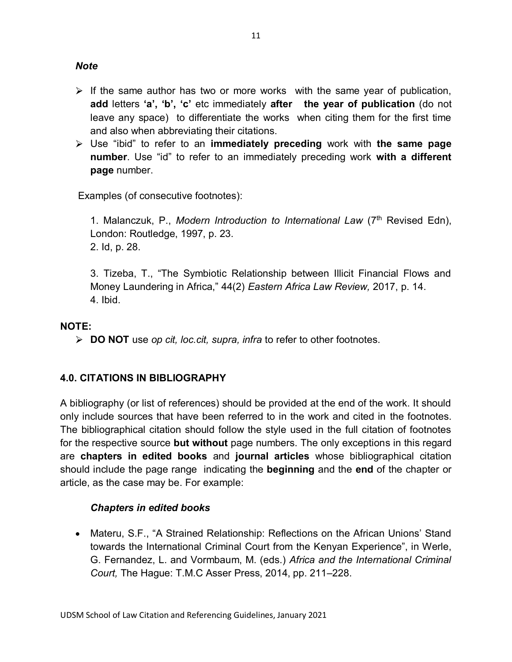*Note*

- $\triangleright$  If the same author has two or more works with the same year of publication, **add** letters **'a', 'b', 'c'** etc immediately **after the year of publication** (do not leave any space) to differentiate the works when citing them for the first time and also when abbreviating their citations.
- Use "ibid" to refer to an **immediately preceding** work with **the same page number**. Use "id" to refer to an immediately preceding work **with a different page** number.

Examples (of consecutive footnotes):

1. Malanczuk, P., *Modern Introduction to International Law* (7th Revised Edn), London: Routledge, 1997, p. 23. 2. Id, p. 28.

3. Tizeba, T., "The Symbiotic Relationship between Illicit Financial Flows and Money Laundering in Africa," 44(2) *Eastern Africa Law Review,* 2017, p. 14. 4. Ibid.

# **NOTE:**

**DO NOT** use *op cit, loc.cit, supra, infra* to refer to other footnotes.

# **4.0. CITATIONS IN BIBLIOGRAPHY**

A bibliography (or list of references) should be provided at the end of the work. It should only include sources that have been referred to in the work and cited in the footnotes. The bibliographical citation should follow the style used in the full citation of footnotes for the respective source **but without** page numbers. The only exceptions in this regard are **chapters in edited books** and **journal articles** whose bibliographical citation should include the page range indicating the **beginning** and the **end** of the chapter or article, as the case may be. For example:

## *Chapters in edited books*

Materu, S.F., "A Strained Relationship: Reflections on the African Unions' Stand towards the International Criminal Court from the Kenyan Experience", in Werle, G. Fernandez, L. and Vormbaum, M. (eds.) *Africa and the International Criminal Court,* The Hague: T.M.C Asser Press, 2014, pp. 211–228.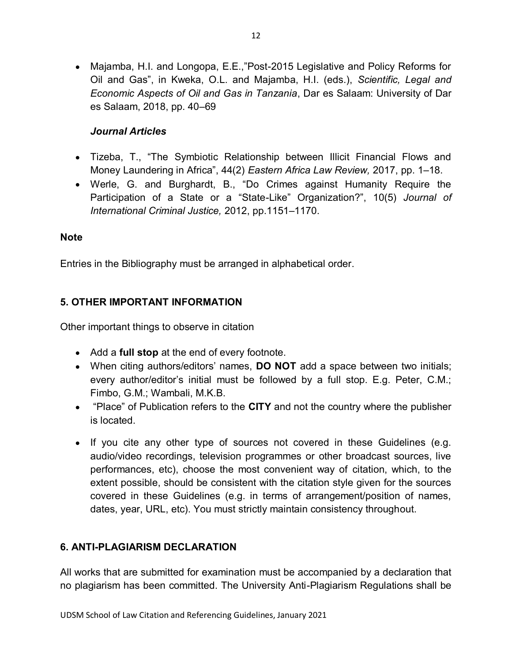Majamba, H.I. and Longopa, E.E.,"Post-2015 Legislative and Policy Reforms for Oil and Gas", in Kweka, O.L. and Majamba, H.I. (eds.), *Scientific, Legal and Economic Aspects of Oil and Gas in Tanzania*, Dar es Salaam: University of Dar es Salaam, 2018, pp. 40–69

## *Journal Articles*

- Tizeba, T., "The Symbiotic Relationship between Illicit Financial Flows and Money Laundering in Africa", 44(2) *Eastern Africa Law Review,* 2017, pp. 1–18.
- Werle, G. and Burghardt, B., "Do Crimes against Humanity Require the Participation of a State or a "State-Like" Organization?", 10(5) *Journal of International Criminal Justice,* 2012, pp.1151–1170.

#### **Note**

Entries in the Bibliography must be arranged in alphabetical order.

# **5. OTHER IMPORTANT INFORMATION**

Other important things to observe in citation

- Add a **full stop** at the end of every footnote.
- When citing authors/editors' names, **DO NOT** add a space between two initials; every author/editor's initial must be followed by a full stop. E.g. Peter, C.M.; Fimbo, G.M.; Wambali, M.K.B.
- "Place" of Publication refers to the **CITY** and not the country where the publisher is located.
- If you cite any other type of sources not covered in these Guidelines (e.g. audio/video recordings, television programmes or other broadcast sources, live performances, etc), choose the most convenient way of citation, which, to the extent possible, should be consistent with the citation style given for the sources covered in these Guidelines (e.g. in terms of arrangement/position of names, dates, year, URL, etc). You must strictly maintain consistency throughout.

## **6. ANTI-PLAGIARISM DECLARATION**

All works that are submitted for examination must be accompanied by a declaration that no plagiarism has been committed. The University Anti-Plagiarism Regulations shall be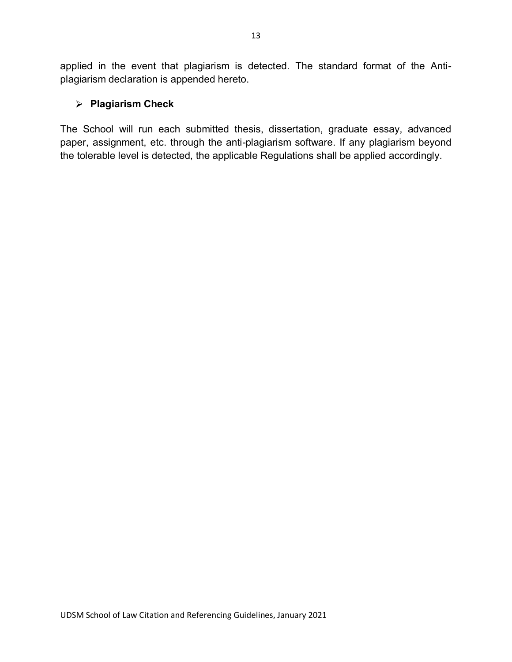applied in the event that plagiarism is detected. The standard format of the Antiplagiarism declaration is appended hereto.

## **Plagiarism Check**

The School will run each submitted thesis, dissertation, graduate essay, advanced paper, assignment, etc. through the anti-plagiarism software. If any plagiarism beyond the tolerable level is detected, the applicable Regulations shall be applied accordingly.